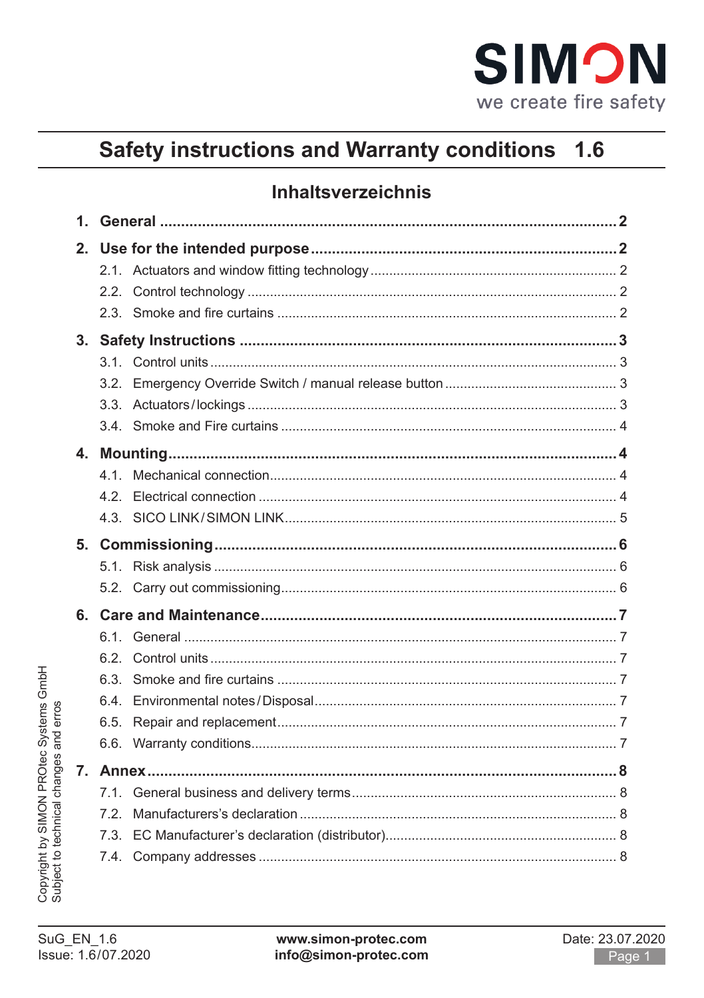

#### **Safety instructions and Warranty conditions**  $1.6$

# **Inhaltsverzeichnis**

| 22   |  |
|------|--|
|      |  |
|      |  |
|      |  |
| 32   |  |
|      |  |
|      |  |
|      |  |
| 41   |  |
| 42   |  |
|      |  |
|      |  |
|      |  |
|      |  |
|      |  |
| 61   |  |
| 62   |  |
| 63   |  |
| 6.4. |  |
| 6.5. |  |
|      |  |
|      |  |
| 7.1. |  |
| 72   |  |
| 73   |  |
|      |  |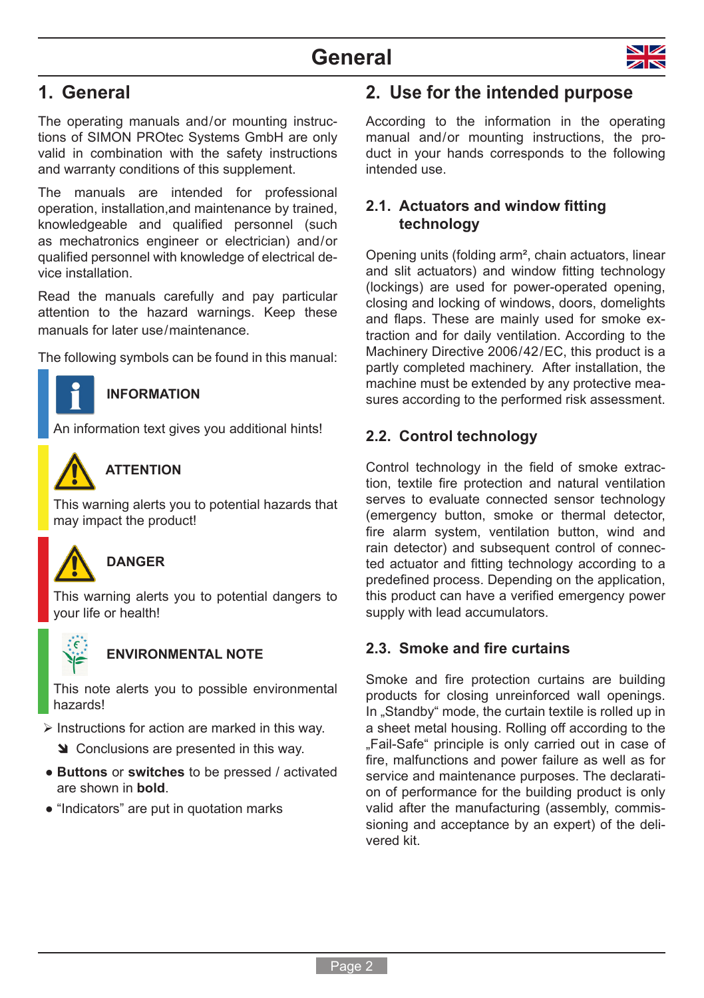

# <span id="page-1-0"></span>**1. General**

The operating manuals and/or mounting instructions of SIMON PROtec Systems GmbH are only valid in combination with the safety instructions and warranty conditions of this supplement.

The manuals are intended for professional operation, installation,and maintenance by trained, knowledgeable and qualified personnel (such as mechatronics engineer or electrician) and / or qualified personnel with knowledge of electrical device installation.

Read the manuals carefully and pay particular attention to the hazard warnings. Keep these manuals for later use/maintenance.

The following symbols can be found in this manual:



### **INFORMATION**

An information text gives you additional hints!



## **ATTENTION**

This warning alerts you to potential hazards that may impact the product!



### **DANGER**

This warning alerts you to potential dangers to your life or health!



### **ENVIRONMENTAL NOTE**

This note alerts you to possible environmental hazards!

- $\triangleright$  Instructions for action are marked in this way.
	- Star-Conclusions are presented in this way.
- **Buttons** or **switches** to be pressed / activated are shown in **bold**.
- "Indicators" are put in quotation marks

# **2. Use for the intended purpose**

According to the information in the operating manual and/or mounting instructions, the product in your hands corresponds to the following intended use.

### **2.1. Actuators and window fitting technology**

Opening units (folding arm², chain actuators, linear and slit actuators) and window fitting technology (lockings) are used for power-operated opening, closing and locking of windows, doors, domelights and flaps. These are mainly used for smoke extraction and for daily ventilation. According to the Machinery Directive 2006/42/EC, this product is a partly completed machinery. After installation, the machine must be extended by any protective measures according to the performed risk assessment.

### **2.2. Control technology**

Control technology in the field of smoke extraction, textile fire protection and natural ventilation serves to evaluate connected sensor technology (emergency button, smoke or thermal detector, fire alarm system, ventilation button, wind and rain detector) and subsequent control of connected actuator and fitting technology according to a predefined process. Depending on the application, this product can have a verified emergency power supply with lead accumulators.

### **2.3. Smoke and fire curtains**

Smoke and fire protection curtains are building products for closing unreinforced wall openings. In "Standby" mode, the curtain textile is rolled up in a sheet metal housing. Rolling off according to the .Fail-Safe" principle is only carried out in case of fire, malfunctions and power failure as well as for service and maintenance purposes. The declaration of performance for the building product is only valid after the manufacturing (assembly, commissioning and acceptance by an expert) of the delivered kit.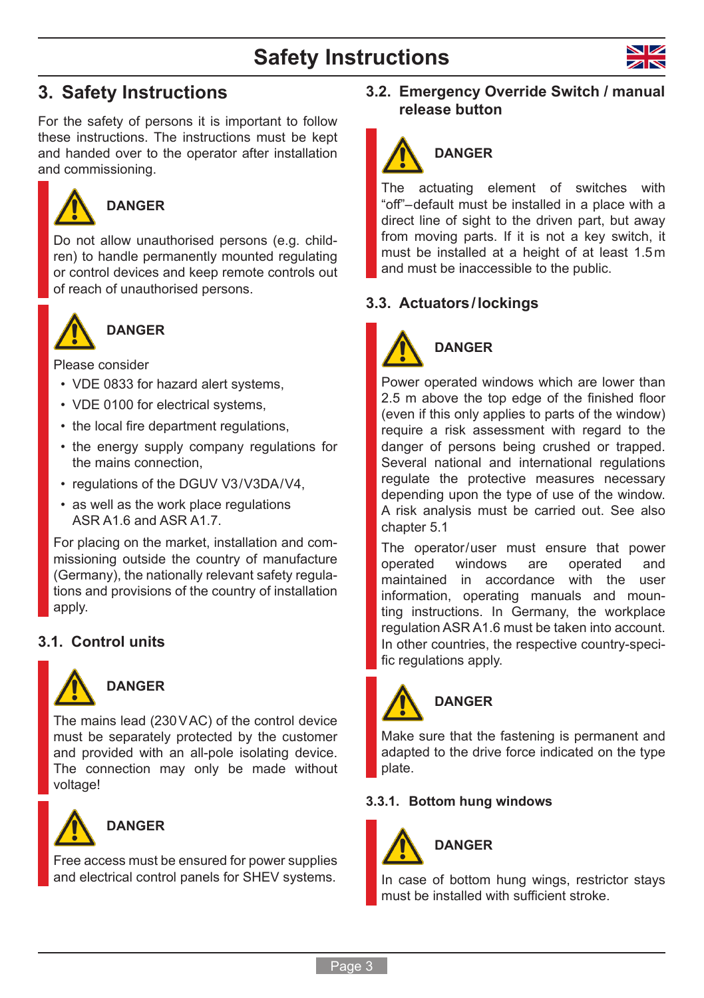# **Safety Instructions**



# <span id="page-2-0"></span>**3. Safety Instructions**

For the safety of persons it is important to follow these instructions. The instructions must be kept and handed over to the operator after installation and commissioning.



# **DANGER**

Do not allow unauthorised persons (e.g. children) to handle permanently mounted regulating or control devices and keep remote controls out of reach of unauthorised persons.



# **DANGER**

Please consider

- VDE 0833 for hazard alert systems,
- VDE 0100 for electrical systems.
- the local fire department regulations,
- the energy supply company regulations for the mains connection,
- regulations of the DGUV V3/V3DA/V4,
- as well as the work place regulations ASR A1.6 and ASR A1.7.

For placing on the market, installation and commissioning outside the country of manufacture (Germany), the nationally relevant safety regulations and provisions of the country of installation apply.

### **3.1. Control units**



## **DANGER**

The mains lead (230VAC) of the control device must be separately protected by the customer and provided with an all-pole isolating device. The connection may only be made without voltage!



### **DANGER**

Free access must be ensured for power supplies and electrical control panels for SHEV systems.

### **3.2. Emergency Override Switch / manual release button**



The actuating element of switches with "off"– default must be installed in a place with a direct line of sight to the driven part, but away from moving parts. If it is not a key switch, it must be installed at a height of at least 1.5m and must be inaccessible to the public.

### **3.3. Actuators/lockings**



# **DANGER**

Power operated windows which are lower than 2.5 m above the top edge of the finished floor (even if this only applies to parts of the window) require a risk assessment with regard to the danger of persons being crushed or trapped. Several national and international regulations regulate the protective measures necessary depending upon the type of use of the window. A risk analysis must be carried out. See also [chapter 5.1](#page-5-1)

The operator/user must ensure that power<br>operated windows are operated and operated and maintained in accordance with the user information, operating manuals and mounting instructions. In Germany, the workplace regulation ASR A1.6 must be taken into account. In other countries, the respective country-specific regulations apply.



Make sure that the fastening is permanent and adapted to the drive force indicated on the type

### **3.3.1. Bottom hung windows**



plate.

In case of bottom hung wings, restrictor stays must be installed with sufficient stroke.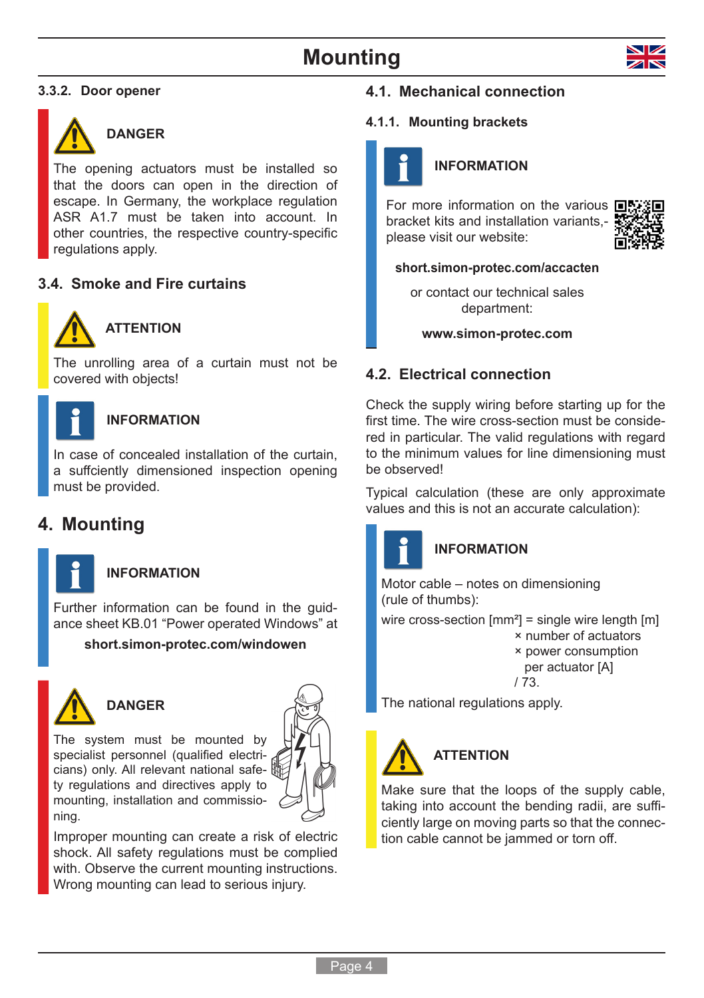<span id="page-3-0"></span>



### **DANGER**

The opening actuators must be installed so that the doors can open in the direction of escape. In Germany, the workplace regulation ASR A1.7 must be taken into account. In other countries, the respective country-specific regulations apply.

### **3.4. Smoke and Fire curtains**



## **ATTENTION**

The unrolling area of a curtain must not be covered with objects!



### **INFORMATION**

In case of concealed installation of the curtain, a suffciently dimensioned inspection opening must be provided.

# **4. Mounting**



# **INFORMATION**

Further information can be found in the guidance sheet KB.01 "Power operated Windows" at

### **[short.simon-protec.com/windowen](http://short.simon-protec.com/windowen)**



# **DANGER**

The system must be mounted by specialist personnel (qualified electricians) only. All relevant national safety regulations and directives apply to mounting, installation and commissioning.



Improper mounting can create a risk of electric shock. All safety regulations must be complied with. Observe the current mounting instructions. Wrong mounting can lead to serious injury.

### **4.1. Mechanical connection**

#### **4.1.1. Mounting brackets**



### **INFORMATION**

For more information on the various  $\blacksquare$ bracket kits and installation variants, please visit our website:



#### **[short.simon-protec.com/a](http://short.simon-protec.com/windowde)ccacten**

or contact our technical sales department:

**www.simon-protec.com**

### **4.2. Electrical connection**

Check the supply wiring before starting up for the first time. The wire cross-section must be considered in particular. The valid regulations with regard to the minimum values for line dimensioning must be observed!

Typical calculation (these are only approximate values and this is not an accurate calculation):



## **INFORMATION**

Motor cable – notes on dimensioning (rule of thumbs):

wire cross-section  $\text{[mm}^2$  = single wire length  $\text{[m]}$ × number of actuators × power consumption per actuator [A]

/ 73.

The national regulations apply.



Make sure that the loops of the supply cable, taking into account the bending radii, are sufficiently large on moving parts so that the connection cable cannot be jammed or torn off.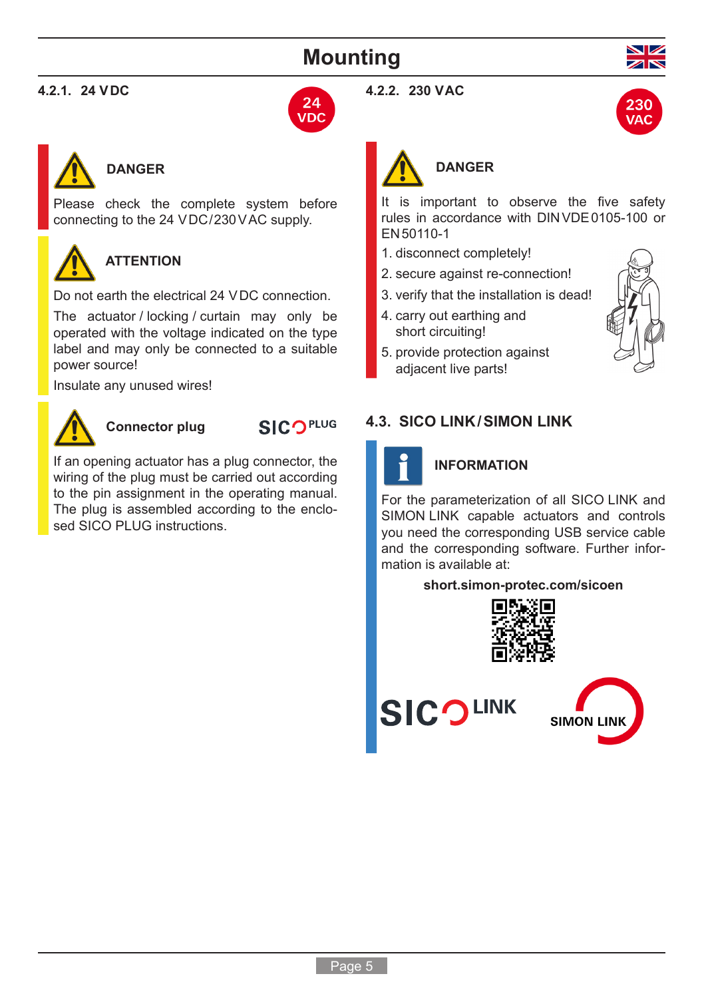# **Mounting**

### <span id="page-4-0"></span>**4.2.1. 24 VDC**





## **DANGER**

Please check the complete system before connecting to the 24 VDC/230 VAC supply.

# **ATTENTION**

Do not earth the electrical 24 VDC connection.

The actuator / locking / curtain may only be operated with the voltage indicated on the type label and may only be connected to a suitable power source!

Insulate any unused wires!



**Connector plug**

**SICOPLUG** 

If an opening actuator has a plug connector, the wiring of the plug must be carried out according to the pin assignment in the operating manual. The plug is assembled according to the enclosed SICO PLUG instructions.

#### **4.2.2. 230 VAC**





# **DANGER**

It is important to observe the five safety rules in accordance with DINVDE0105-100 or EN50110-1

- 1. disconnect completely!
- 2. secure against re-connection!
- 3. verify that the installation is dead!
- 4. carry out earthing and short circuiting!
- 5. provide protection against adjacent live parts!



### **4.3. SICO LINK/SIMON LINK**



### **INFORMATION**

For the parameterization of all SICO LINK and SIMON LINK capable actuators and controls you need the corresponding USB service cable and the corresponding software. Further information is available at:

#### **[short.simon-protec.com/sicoen](http://short.simon-protec.com/sicoen)**





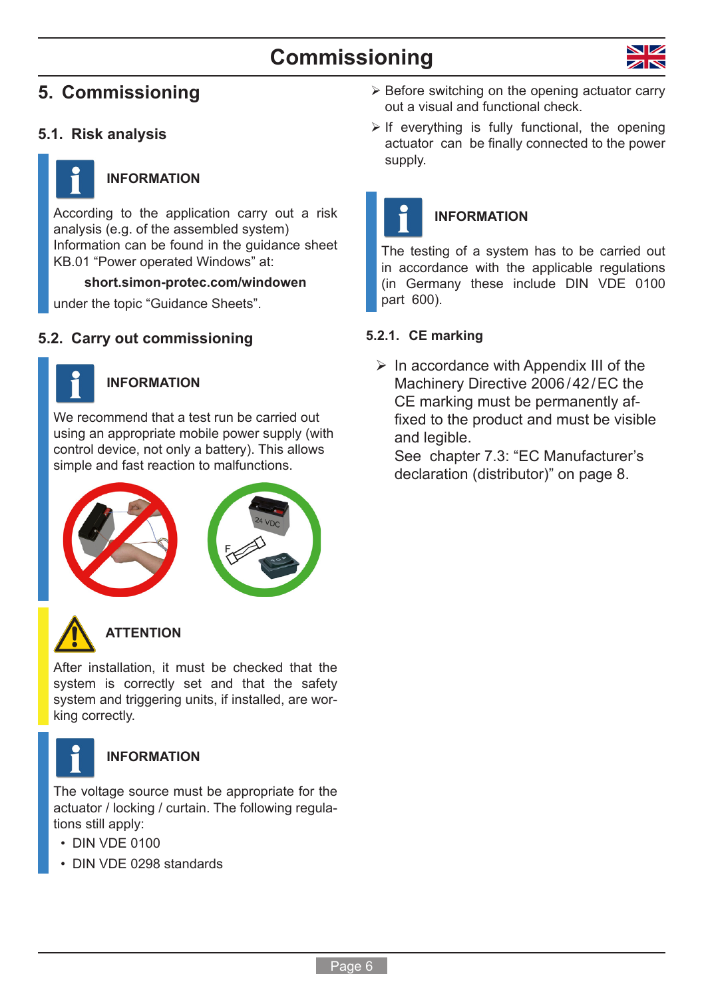# **Commissioning**



# <span id="page-5-0"></span>**5. Commissioning**

### **5.1. Risk analysis**



## <span id="page-5-1"></span>**INFORMATION**

According to the application carry out a risk analysis (e.g. of the assembled system) Information can be found in the guidance sheet KB.01 "Power operated Windows" at:

### **[short.simon-protec.com/windowen](http://short.simon-protec.com/windowen)**

under the topic "Guidance Sheets".

### **5.2. Carry out commissioning**



### **INFORMATION**

We recommend that a test run be carried out using an appropriate mobile power supply (with control device, not only a battery). This allows simple and fast reaction to malfunctions.





# **ATTENTION**

After installation, it must be checked that the system is correctly set and that the safety system and triggering units, if installed, are working correctly.



### **INFORMATION**

The voltage source must be appropriate for the actuator / locking / curtain. The following regulations still apply:

- DIN VDE 0100
- DIN VDE 0298 standards
- $\triangleright$  Before switching on the opening actuator carry out a visual and functional check.
- $\triangleright$  If everything is fully functional, the opening actuator can be finally connected to the power supply.



### **INFORMATION**

The testing of a system has to be carried out in accordance with the applicable regulations (in Germany these include DIN VDE 0100 part 600).

### **5.2.1. CE marking**

 $\triangleright$  In accordance with Appendix III of the Machinery Directive 2006/42/EC the CE marking must be permanently affixed to the product and must be visible and legible.

See [chapter 7.3: "EC Manufacturer's](#page-7-1)  [declaration \(distributor\)" on page](#page-7-1) 8.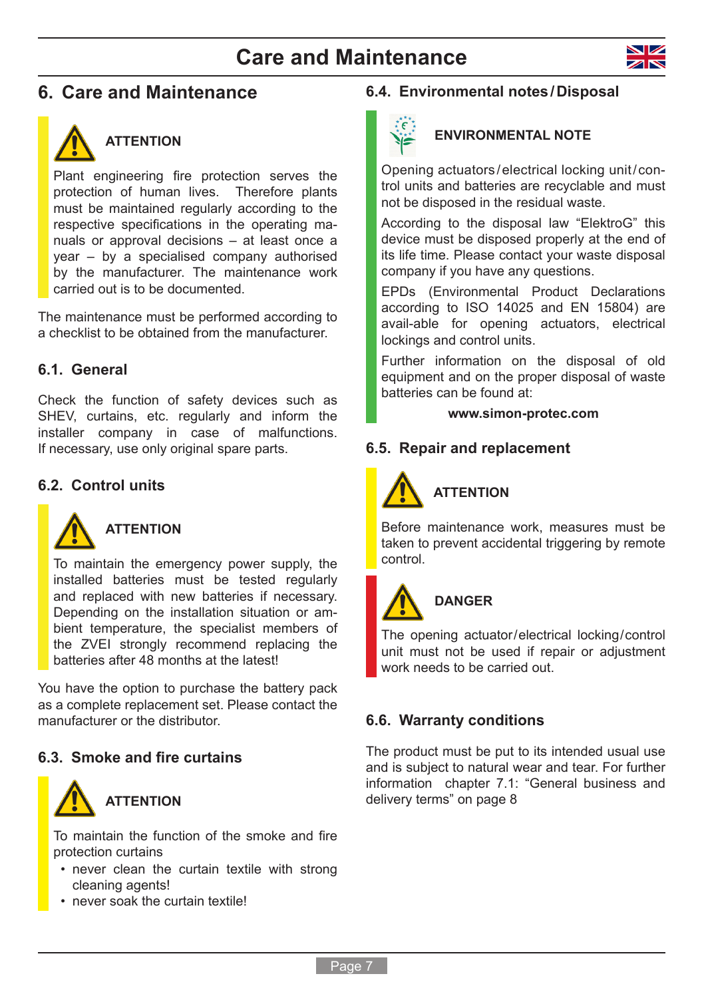# **Care and Maintenance**



# <span id="page-6-0"></span>**6. Care and Maintenance**



## **ATTENTION**

Plant engineering fire protection serves the protection of human lives. Therefore plants must be maintained regularly according to the respective specifications in the operating manuals or approval decisions – at least once a year – by a specialised company authorised by the manufacturer. The maintenance work carried out is to be documented.

The maintenance must be performed according to a checklist to be obtained from the manufacturer.

### **6.1. General**

Check the function of safety devices such as SHEV, curtains, etc. regularly and inform the installer company in case of malfunctions. If necessary, use only original spare parts.

### **6.2. Control units**



### **ATTENTION**

To maintain the emergency power supply, the installed batteries must be tested regularly and replaced with new batteries if necessary. Depending on the installation situation or ambient temperature, the specialist members of the ZVEI strongly recommend replacing the batteries after 48 months at the latest!

You have the option to purchase the battery pack as a complete replacement set. Please contact the manufacturer or the distributor.

### **6.3. Smoke and fire curtains**



To maintain the function of the smoke and fire protection curtains

- never clean the curtain textile with strong cleaning agents!
- never soak the curtain textile!

### **6.4. Environmental notes/Disposal**



### **ENVIRONMENTAL NOTE**

Opening actuators / electrical locking unit / control units and batteries are recyclable and must not be disposed in the residual waste.

According to the disposal law "ElektroG" this device must be disposed properly at the end of its life time. Please contact your waste disposal company if you have any questions.

EPDs (Environmental Product Declarations according to ISO 14025 and EN 15804) are avail-able for opening actuators, electrical lockings and control units.

Further information on the disposal of old equipment and on the proper disposal of waste batteries can be found at:

#### **[www.simon-protec.com](http://www.simon-protec.com)**

### **6.5. Repair and replacement**



# **ATTENTION**

Before maintenance work, measures must be taken to prevent accidental triggering by remote control.



# **DANGER**

The opening actuator/electrical locking/control unit must not be used if repair or adjustment work needs to be carried out.

### **6.6. Warranty conditions**

The product must be put to its intended usual use and is subject to natural wear and tear. For further information [chapter 7.1: "General business and](#page-7-2)  [delivery terms" on page](#page-7-2) 8